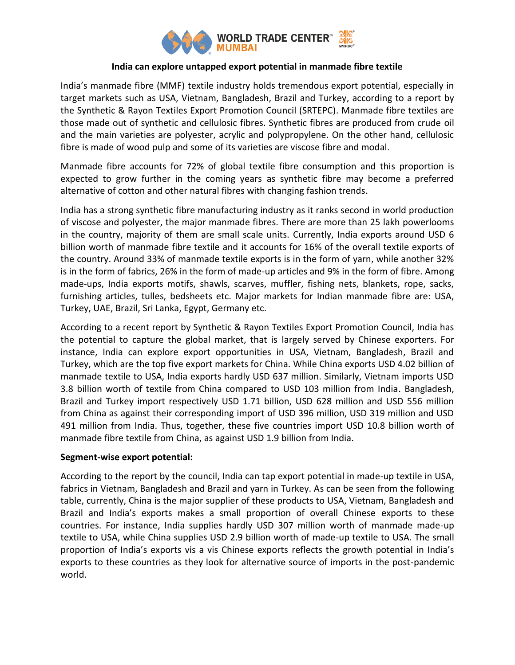

## **India can explore untapped export potential in manmade fibre textile**

India's manmade fibre (MMF) textile industry holds tremendous export potential, especially in target markets such as USA, Vietnam, Bangladesh, Brazil and Turkey, according to a report by the Synthetic & Rayon Textiles Export Promotion Council (SRTEPC). Manmade fibre textiles are those made out of synthetic and cellulosic fibres. Synthetic fibres are produced from crude oil and the main varieties are polyester, acrylic and polypropylene. On the other hand, cellulosic fibre is made of wood pulp and some of its varieties are viscose fibre and modal.

Manmade fibre accounts for 72% of global textile fibre consumption and this proportion is expected to grow further in the coming years as synthetic fibre may become a preferred alternative of cotton and other natural fibres with changing fashion trends.

India has a strong synthetic fibre manufacturing industry as it ranks second in world production of viscose and polyester, the major manmade fibres. There are more than 25 lakh powerlooms in the country, majority of them are small scale units. Currently, India exports around USD 6 billion worth of manmade fibre textile and it accounts for 16% of the overall textile exports of the country. Around 33% of manmade textile exports is in the form of yarn, while another 32% is in the form of fabrics, 26% in the form of made-up articles and 9% in the form of fibre. Among made-ups, India exports motifs, shawls, scarves, muffler, fishing nets, blankets, rope, sacks, furnishing articles, tulles, bedsheets etc. Major markets for Indian manmade fibre are: USA, Turkey, UAE, Brazil, Sri Lanka, Egypt, Germany etc.

According to a recent report by Synthetic & Rayon Textiles Export Promotion Council, India has the potential to capture the global market, that is largely served by Chinese exporters. For instance, India can explore export opportunities in USA, Vietnam, Bangladesh, Brazil and Turkey, which are the top five export markets for China. While China exports USD 4.02 billion of manmade textile to USA, India exports hardly USD 637 million. Similarly, Vietnam imports USD 3.8 billion worth of textile from China compared to USD 103 million from India. Bangladesh, Brazil and Turkey import respectively USD 1.71 billion, USD 628 million and USD 556 million from China as against their corresponding import of USD 396 million, USD 319 million and USD 491 million from India. Thus, together, these five countries import USD 10.8 billion worth of manmade fibre textile from China, as against USD 1.9 billion from India.

## **Segment-wise export potential:**

According to the report by the council, India can tap export potential in made-up textile in USA, fabrics in Vietnam, Bangladesh and Brazil and yarn in Turkey. As can be seen from the following table, currently, China is the major supplier of these products to USA, Vietnam, Bangladesh and Brazil and India's exports makes a small proportion of overall Chinese exports to these countries. For instance, India supplies hardly USD 307 million worth of manmade made-up textile to USA, while China supplies USD 2.9 billion worth of made-up textile to USA. The small proportion of India's exports vis a vis Chinese exports reflects the growth potential in India's exports to these countries as they look for alternative source of imports in the post-pandemic world.